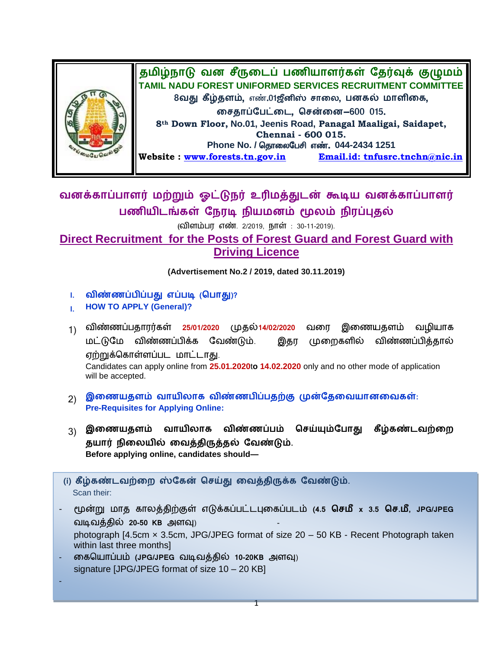

## வனக்காப்பாளர் மற்றும் ஓட்டுநர் உரிமத்துடன் கூடிய வனக்காப்பாளர் பணியிடங்கள் நேரடி நியமனம் மூலம் நிரப்புதல்

(விளம்பர எண். 2/2019, நாள் : 30-11-2019).

## **Direct Recruitment for the Posts of Forest Guard and Forest Guard with Driving Licence**

**(Advertisement No.2 / 2019, dated 30.11.2019)**

- 1. விண்ணப்பிப்பது எப்படி (பொது)?
- **I. HOW TO APPLY (General)?**
- <sub>1)</sub> விண்ணப்பதாரர்கள் 25/01/2020 முதல்14/02/2020 வரை இணையதளம் வழியாக<br>மட்டுமே விண்ணப்பிக்க வேண்டும். இதர முறைகளில் விண்ணப்பித்தால் மட்டுமே விண்ணப்பிக்க வேண்டும். விண்ணப்பித்தால் ஏற்றுக்கொள்ளப்பட மாட்டாகு. Candidates can apply online from **25.01.2020**t**o 14.02.2020** only and no other mode of application will be accepted.
- 2) இணையதளம் வாயிலாக விண்ணபிப்பதற்கு முன்தேவையானவைகள்: **Pre-Requisites for Applying Online:**
- 3) இணையதளம் வாயிலாக விண்ணப்பம் செய்யும்போது கீழ்கண்டவற்றை தயார் நிலையில் வைத்திருத்தல் வேண்டும். **Before applying online, candidates should—**
- (i) கீழ்கண்டவற்றை ஸ்கேன் செய்து வைத்திருக்க வேண்டும். Scan their:
- **(4.5 x 3.5 . , JPG/JPEG** வடிவத்தில் 20-50 KB அளவு) photograph [4.5cm × 3.5cm, JPG/JPEG format of size 20 – 50 KB - Recent Photograph taken within last three months]
- கையொப்பம் (JPG/JPEG வடிவத்தில் 10-20KB அளவு) signature [JPG/JPEG format of size 10 – 20 KB]
- -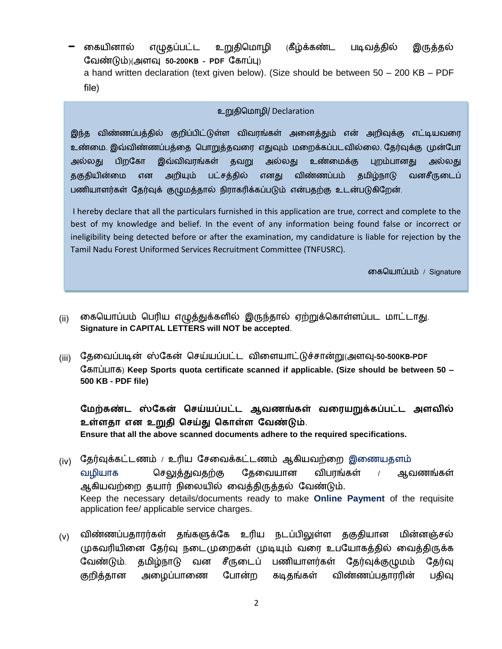கையினால் எழுதப்பட்ட உறுதிமொழி (கீழ்க்கண்ட படிவத்தில் இருத்தல் )( **50-200KB – PDF** ) a hand written declaration (text given below). (Size should be between 50 – 200 KB – PDF file)

## உறுதிமநொமி/ Declaration

இந்த விண்ணப்பத்தில் குறிப்பிட்டுள்ள விவரங்கள் அனைத்தும் என் அறிவுக்கு எட்டியவரை உண்மை. இவ்விண்ணப்பத்தை பொறுத்தவரை எதுவும் மறைக்கப்படவில்லை. தேர்வுக்கு முன்போ அல்லது பிறகோ இவ்விவரங்கள் தவறு அல்லது உண்மைக்கு புறம்பானது அல்லது தகுதியின்மை என அறியும் பட்சத்தில் எனது விண்ணப்பம் தமிழ்நாடு வனசீருடைப் பணியாளர்கள் தேர்வுக் குழுமத்தால் நிராகரிக்கப்படும் என்பதற்கு உடன்படுகிறேன்.

I hereby declare that all the particulars furnished in this application are true, correct and complete to the best of my knowledge and belief. In the event of any information being found false or incorrect or ineligibility being detected before or after the examination, my candidature is liable for rejection by the Tamil Nadu Forest Uniformed Services Recruitment Committee (TNFUSRC).

னகமனொப்ம் / Signature

- $\,$ (ii) கையொப்பம் பெரிய எழுத்துக்களில் இருந்தால் ஏற்றுக்கொள்ளப்பட மாட்டாது. **Signature in CAPITAL LETTERS will NOT be accepted**.
- <sub>(iii)</sub> தேவைப்படின் ஸ்கேன் செய்யப்பட்ட விளையாட்டுச்சான்று(அளவு-50-500KB-PDF ) **Keep Sports quota certificate scanned if applicable. (Size should be between 50 – 500 KB - PDF file)**

மேற்கண்ட ஸ்கேன் செய்யப்பட்ட ஆவணங்கள் வரையறுக்கப்பட்ட அளவில் உள்ளதா என உறுதி செய்து கொள்ள வேண்டும். **Ensure that all the above scanned documents adhere to the required specifications.**

- (iv) தேர்வுக்கட்டணம் / உரிய சேவைக்கட்டணம் ஆகியவற்றை இணையதளம் வழியாக செலுத்துவதற்கு தேவையான விபரங்கள் ஆவணங்கள் ஆகியவற்றை தயார் நிலையில் வைத்திருத்தல் வேண்டும். Keep the necessary details/documents ready to make **Online Payment** of the requisite application fee/ applicable service charges.
- $_{\rm (V)}$  விண்ணப்பதாரர்கள் தங்களுக்கே உரிய நடப்பிலுள்ள தகுதியான மின்னஞ்சல் முகவரியினை தேர்வு நடைமுறைகள் முடியும் வரை உபயோகத்தில் வைத்திருக்க வேண்டும். தமிழ்நாடு வன சீருடைப் பணியாளர்கள் தேர்வுக்குழுமம் தேர்வு குறித்தான அழைப்பாணை போன்ற கடிதங்கள் விண்ணப்பதாரரின் பதிவு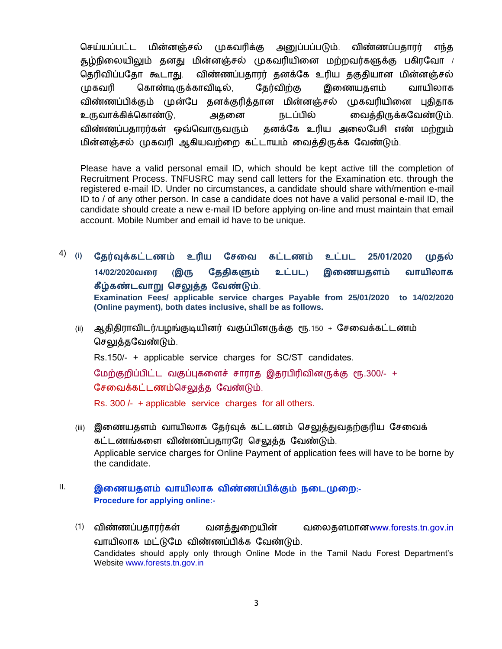செய்யப்பட்ட மின்னஞ்சல் முகவரிக்கு அனுப்பப்படும். விண்ணப்பதாரர் எங்க தூழ்நிலையிலும் தனது மின்னஞ்சல் முகவரியினை மற்றவர்களுக்கு பகிரவோ / விண்ணப்பதாரர் தனக்கே உரிய தகுதியான மின்னஞ்சல் தெரிவிப்பகோ கூடாகு. முகவரி கொண்டிருக்காவிடில், தேர்விற்கு இணையதளம் வாயிலாக விண்ணப்பிக்கும் முன்பே தனக்குரித்தான மின்னஞ்சல் முகவரியினை புதிதாக , . விண்ணப்பதாரர்கள் ஒவ்வொருவரும் தனக்கே உரிய அலைபேசி எண் மற்றும் மின்னஞ்சல் முகவரி ஆகியவற்றை கட்டாயம் வைத்திருக்க வேண்டும்.

Please have a valid personal email ID, which should be kept active till the completion of Recruitment Process. TNFUSRC may send call letters for the Examination etc. through the registered e-mail ID. Under no circumstances, a candidate should share with/mention e-mail ID to / of any other person. In case a candidate does not have a valid personal e-mail ID, the candidate should create a new e-mail ID before applying on-line and must maintain that email account. Mobile Number and email id have to be unique.

- 4) **(i) வ 25/01/2020**  முதல் 14/02/2020வரை (இரு தேதிகளும் உட்பட) இணையதளம் வாயிலாக **கீழ்கண்டவாறு செலுத்த வேண்டும்**. **Examination Fees/ applicable service charges Payable from 25/01/2020 to 14/02/2020 (Online payment), both dates inclusive, shall be as follows.**
	- (ii) ஆதிதிராவிடர்/பழங்குடியினர் வகுப்பினருக்கு ரூ.150 + சேவைக்கட்டணம் செலுத்தவேண்டும்.

Rs.150/- + applicable service charges for SC/ST candidates.

மேற்குறிப்பிட்ட வகுப்புகளைச் சாராத இதரபிரிவினருக்கு ரூ.300/- + சேவைக்கட்டணம்செலுக்கு வேண்டும்.

Rs. 300 /- + applicable service charges for all others.

- (iii) இணையதளம் வாயிலாக தேர்வுக் கட்டணம் செலுத்துவதற்குரிய சேவைக் கட்டணங்களை விண்ணப்பதாரரே செலுத்த வேண்டும். Applicable service charges for Online Payment of application fees will have to be borne by the candidate.
- ll. இணையதளம் வாயிலாக விண்ணப்பிக்கும் நடைமுறை**:-Procedure for applying online:-**
	- (1) விண்ணப்பதாரர்கள் வனத்துறையின் வலைதளமானwww.forests.tn.gov.in வாயிலாக மட்டுமே விண்ணப்பிக்க வேண்டும். Candidates should apply only through Online Mode in the Tamil Nadu Forest Department's Website www.forests.tn.gov.in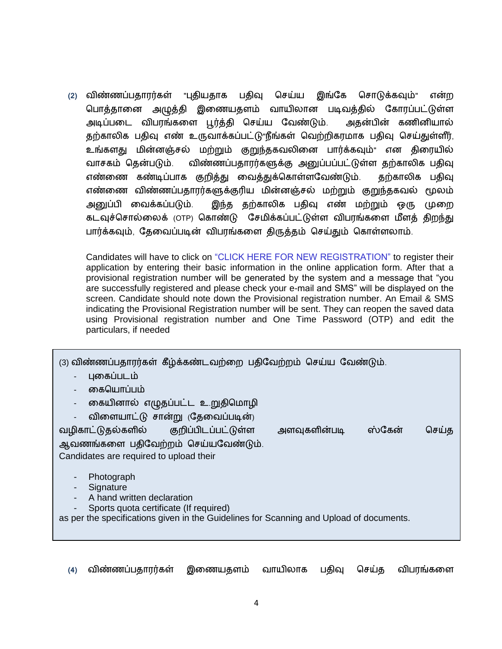(2) விண்ணப்பதாரர்கள் "புதியதாக பதிவு செய்ய இங்கே சொடுக்கவும்" என்ற அமுக்கி இணையதளம் வாயிலான படிவத்தில் கோரப்பட்டுள்ள பொக்கானை அடிப்படை விபரங்களை பூர்த்தி செய்ய வேண்டும். அதன்பின் கணினியால் தற்காலிக பதிவு எண் உருவாக்கப்பட்டு"நீங்கள் வெற்றிகரமாக பதிவு செய்துள்ளீர், உங்களது மின்னஞ்சல் மற்றும் குறுந்தகவலினை பார்க்கவும்" என திரையில் விண்ணப்பதாரர்களுக்கு அனுப்பப்பட்டுள்ள தற்காலிக பதிவு வாசகம் தென்படும். எண்ணை கண்டிப்பாக குறித்து வைத்துக்கொள்ளவேண்டும். தற்காலிக பதிவு எண்ணை விண்ணப்பதாரர்களுக்குரிய மின்னஞ்சல் மற்றும் குறுந்தகவல் மூலம் அறுப்பி வைக்கப்படும். இந்த தற்காலிக பதிவு எண் மற்றும் ஒரு முறை கடவுச்சொல்லைக் (OTP) கொண்டு சேமிக்கப்பட்டுள்ள விபரங்களை மீளக் கிறந்து பார்க்கவும், தேவைப்படின் விபரங்களை திருத்தம் செய்தும் கொள்ளலாம்.

Candidates will have to click on "CLICK HERE FOR NEW REGISTRATION" to register their application by entering their basic information in the online application form. After that a provisional registration number will be generated by the system and a message that "you are successfully registered and please check your e-mail and SMS" will be displayed on the screen. Candidate should note down the Provisional registration number. An Email & SMS indicating the Provisional Registration number will be sent. They can reopen the saved data using Provisional registration number and One Time Password (OTP) and edit the particulars, if needed

| (3) விண்ணப்பதாரர்கள் கீழ்க்கண்டவற்றை பதிவேற்றம் செய்ய வேண்டும்.<br>புகைப்படம்<br>கையொப்பம் |       |
|--------------------------------------------------------------------------------------------|-------|
| கையினால் எழுதப்பட்ட உறுதிமொழி<br>$\blacksquare$                                            |       |
| விளையாட்டு சான்று (தேவைப்படின்)                                                            |       |
| வழிகாட்டுதல்களில் குறிப்பிடப்பட்டுள்ள<br>ஸ்கேன்<br>அளவுகளின்படி                            | செய்த |
| ஆவணங்களை பதிவேற்றம் செய்யவேண்டும்.                                                         |       |
| Candidates are required to upload their                                                    |       |
| Photograph<br>Signature                                                                    |       |
| A hand written declaration                                                                 |       |
| Sports quota certificate (If required)                                                     |       |
| as per the specifications given in the Guidelines for Scanning and Upload of documents.    |       |
|                                                                                            |       |

**(4)** இணையதளம் வாயிலாக செய்த விபரங்களை பதிவு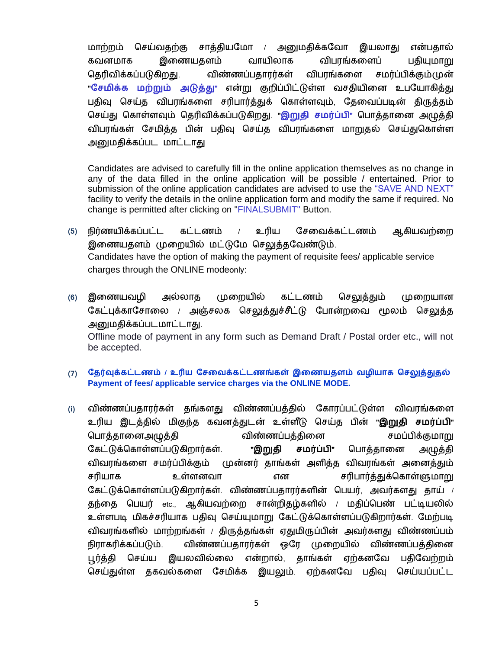மாற்றம் செய்வதற்கு சாத்தியமோ / அனுமதிக்கவோ இயலாது என்பதால் கவனமாக இணையதளம் வாயிலாக விபாங்களைப் பதியுமாறு தெரிவிக்கப்படுகிறது. விண்ணப்பகாரர்கள் விபாங்களை சமர்ப்பிக்கும்முன் "சேமிக்க மற்றும் அடுத்து" என்று குறிப்பிட்டுள்ள வசதியினை உபயோகித்து பதிவு செய்த விபரங்களை சரிபார்த்துக் கொள்ளவும், தேவைப்படின் திருத்தம் செய்து கொள்ளவும் தெரிவிக்கப்படுகிறது. "<mark>இறுதி சமர்ப்பி</mark>" பொத்தானை அழுத்தி விபரங்கள் சேமித்த பின் பதிவு செய்த விபரங்களை மாறுதல் செய்துகொள்ள அனுமதிக்கப்பட மாட்டாது

Candidates are advised to carefully fill in the online application themselves as no change in any of the data filled in the online application will be possible / entertained. Prior to submission of the online application candidates are advised to use the "SAVE AND NEXT" facility to verify the details in the online application form and modify the same if required. No change is permitted after clicking on "FINALSUBMIT" Button.

- உரிய (5) நிர்ணயிக்கப்பட்ட கட்டணம் சேவைக்கட்டணம் ஆகியவற்றை இணையதளம் முறையில் மட்டுமே செலுத்தவேண்டும். Candidates have the option of making the payment of requisite fees/ applicable service charges through the ONLINE modeonly:
- **(6)** அல்லாத முறையில் கட்டணம் செலுத்தும் முறையான கேட்புக்காசோலை / அஞ்சலக செலுத்துச்சீட்டு போன்றவை மூலம் செலுத்த அனுமதிக்கப்படமாட்டாது. Offline mode of payment in any form such as Demand Draft / Postal order etc., will not be accepted.
- <u>(7)</u> தேர்வுக்கட்டணம் / உரிய சேவைக்கட்டணங்கள் இணையதளம் வழியாக செலுத்துதல் **Payment of fees/ applicable service charges via the ONLINE MODE.**
- விண்ணப்பத்தில் கோரப்பட்டுள்ள விவரங்களை **(i)** உரிய இடத்தில் மிகுந்த கவனத்துடன் உள்ளீடு செய்த பின் "**இறுதி சமர்ப்பி**" சமப்பிக்குமாறு பொத்தானைஅழுத்தி விண்ணப்பத்தினை கேட்டுக்கொள்ளப்படுகிறார்கள். "**இறுதி சமர்ப்பி**" பொத்தானை அழுத்தி விவரங்களை சமர்ப்பிக்கும் முன்னர் தாங்கள் அளித்த விவரங்கள் அனைத்தும் சரியாக உள்ளனவா என சரிபார்த்துக்கொள்ளுமாறு கேட்டுக்கொள்ளப்படுகிறார்கள். விண்ணப்பதாரர்களின் பெயர், அவர்களது தாய்  $\prime$ தந்தை பெயர்  $\rm etc.,$  ஆகியவற்றை சான்றிதழ்களில் / மதிப்பெண் பட்டியலில் உள்ளபடி மிகச்சரியாக பதிவு செய்யுமாறு கேட்டுக்கொள்ளப்படுகிறார்கள். மேற்படி விவரங்களில் மாற்றங்கள் / திருத்தங்கள் ஏதுமிருப்பின் அவர்களது விண்ணப்பம் நிராகரிக்கப்படும். விண்ணப்பதாரர்கள் ஒரே முறையில் விண்ணப்பத்தினை ஏற்கனவே பகிவேற்றம் பூர்த்தி செய்ய இயலவில்லை என்றால், தாங்கள் செய்துள்ள தகவல்களை சேமிக்க இயலும். ஏற்கனவே பதிவு செய்யப்பட்ட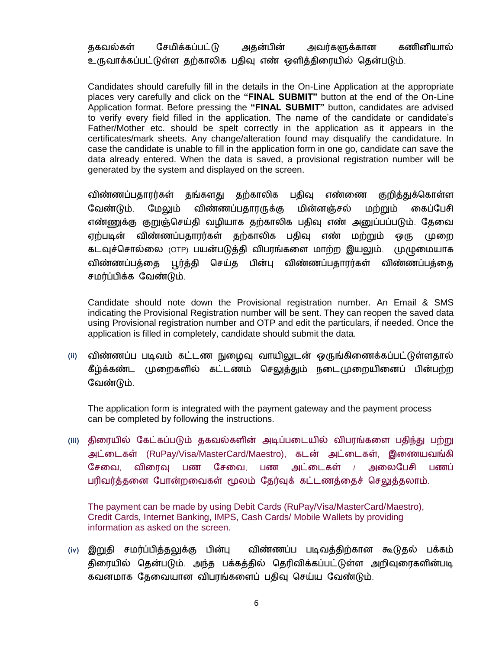ககவல்கள் சேமிக்கப்பட்டு அதன்பின் அவர்களுக்கான கணினியால் உருவாக்கப்பட்டுள்ள தற்காலிக பதிவு எண் ஒளித்திரையில் தென்படும்.

Candidates should carefully fill in the details in the On-Line Application at the appropriate places very carefully and click on the "**FINAL SUBMIT**" button at the end of the On-Line Application format. Before pressing the "FINAL SUBMIT" button, candidates are advised to verify every field filled in the application. The name of the candidate or candidate's Father/Mother etc. should be spelt correctly in the application as it appears in the certificates/mark sheets. Any change/alteration found may disqualify the candidature. In case the candidate is unable to fill in the application form in one go, candidate can save the data already entered. When the data is saved, a provisional registration number will be generated by the system and displayed on the screen.

விண்ணப்பகாார்கள் கங்களகு கற்காலிக பகிவு எண்ணை குறிக்குக்கொள்ள வேண்டும். மேலும் விண்ணப்பதாரருக்கு மின்னஞ்சல் மற்றும் கைப்பேசி எண்ணுக்கு குறுஞ்செய்தி வழியாக தற்காலிக பதிவு எண் அனுப்பப்படும். தேவை ஏற்படின் விண்ணப்பதாரர்கள் தற்காலிக பதிவு எண் மற்றும் ஒரு முறை கடவுச்சொல்லை (OTP) பயன்படுத்தி விபரங்களை மாற்ற இயலும். முழுமையாக விண்ணப்பத்தை புர்த்தி செய்த பின்பு விண்ணப்பதாரர்கள் விண்ணப்பத்தை சமர்ப்பிக்க வேண்டும்.

Candidate should note down the Provisional registration number. An Email & SMS indicating the Provisional Registration number will be sent. They can reopen the saved data using Provisional registration number and OTP and edit the particulars, if needed. Once the application is filled in completely, candidate should submit the data.

(ii) விண்ணப்ப படிவம் கட்டண நுழைவு வாயிலுடன் ஒருங்கிணைக்கப்பட்டுள்ளதால் கீழ்க்கண்ட முறைகளில் கட்டணம் செலுத்தும் நடைமுறையினைப் பின்பற்ற வேண்டும்.

The application form is integrated with the payment gateway and the payment process can be completed by following the instructions.

(iii) திரையில் கேட்கப்படும் தகவல்களின் அடிப்படையில் விபரங்களை பதிந்து பற்று அட்டைகள் (RuPay/Visa/MasterCard/Maestro), கடன் அட்டைகள், இணையவங்கி சேவை, விரைவு பண சேவை, பண அட்டைகள் / அலைபேசி பணப் பரிவர்த்தனை போன்றவைகள் மூலம் தேர்வுக் கட்டணத்தைச் செலுத்தலாம்.

The payment can be made by using Debit Cards (RuPay/Visa/MasterCard/Maestro), Credit Cards, Internet Banking, IMPS, Cash Cards/ Mobile Wallets by providing information as asked on the screen.

**(iv)** விண்ணப்ப படிவத்திற்கான கூடுதல் பக்கம் திரையில் தென்படும். அந்த பக்கத்தில் தெரிவிக்கப்பட்டுள்ள அறிவுரைகளின்படி கவனமாக தேவையான விபரங்களைப் பதிவு செய்ய வேண்டும்.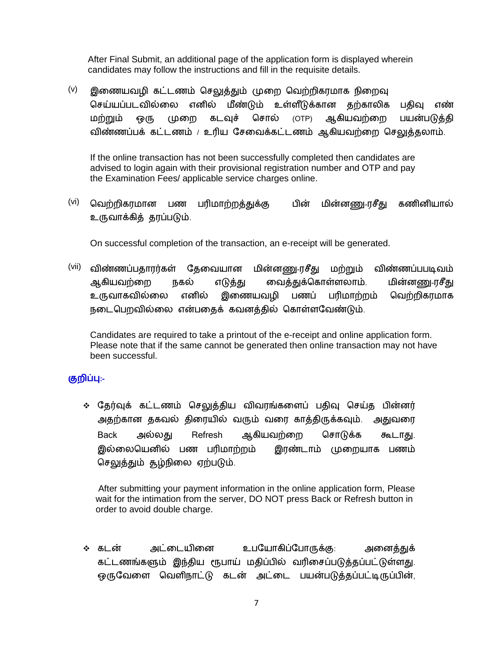After Final Submit, an additional page of the application form is displayed wherein candidates may follow the instructions and fill in the requisite details.

 $(v)$  இணையவழி கட்டணம் செலுத்தும் முறை வெற்றிகரமாக நிறைவு செய்யப்படவில்லை எனில் மீண்டும் உள்ளீடுக்கான கற்காலிக பகிவு எண் பயன்படுக்கி மற்றும் ஒரு முறை கடவுச் சொல் (OTP) ஆ விண்ணப்பக் கட்டணம் / உரிய சேவைக்கட்டணம் ஆகியவற்றை செலுத்தலாம்.

If the online transaction has not been successfully completed then candidates are advised to login again with their provisional registration number and OTP and pay the Examination Fees/ applicable service charges online.

 $\rm{^{(vi)}}$  வெற்றிகரமான பண பரிமாற்றத்துக்கு பின் மின்னணு-ரசீது கணினியால் உருவாக்கித் தரப்படும்.

On successful completion of the transaction, an e-receipt will be generated.

 $(vii)$  விண்ணப்பதாரர்கள் தேவையான மின்னணு-ரசீது மற்றும் விண்ணப்பபடிவம் ஆகியவற்றை நகல் எடுத்து வைத்துக்கொள்ளலாம். மின்னணு-ரசீது இணையவழி உருவாகவில்லை எனில் பணப் பரிமாற்றம் வெற்றிகரமாக நடைபெறவில்லை என்பதைக் கவனத்தில் கொள்ளவேண்டும்.

Candidates are required to take a printout of the e-receipt and online application form. Please note that if the same cannot be generated then online transaction may not have been successful.

## **:-**

∻ தேர்வுக் கட்டணம் செலுத்திய விவரங்களைப் பதிவு செய்த பின்னர் அதற்கான தகவல் திரையில் வரும் வரை காத்திருக்கவும். அதுவரை Back அல்லது Refresh ஆகியவற்றை சொடுக்க கூடாது. இரண்டாம் முறையாக பணம் இல்லையெனில் பண பரிமாற்றம் செலுத்தும் தழ்நிலை ஏற்படும்.

 After submitting your payment information in the online application form, Please wait for the intimation from the server, DO NOT press Back or Refresh button in order to avoid double charge.

∻ கடன் அட்டையினை உபயோகிப்போருக்கு: அனைக்குக் கட்டணங்களும் இந்திய ரூபாய் மதிப்பில் வரிசைப்படுத்தப்பட்டுள்ளது. ஒருவேளை வெளிநாட்டு கடன் அட்டை பயன்படுத்தப்பட்டிருப்பின்,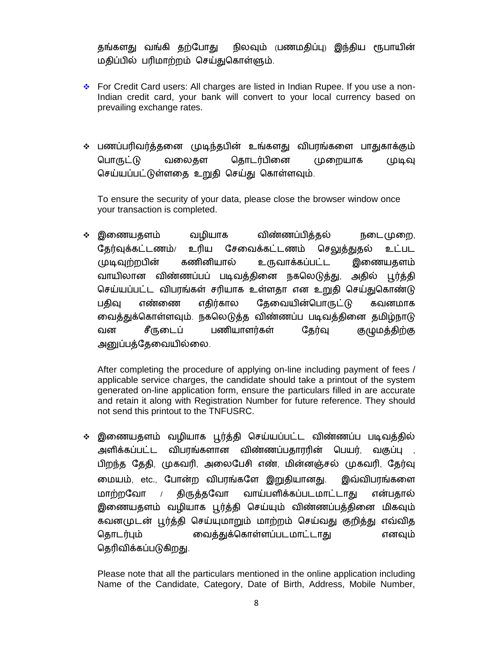தங்களது வங்கி தற்போது நிலவும் (பணமதிப்பு) இந்திய ரூபாயின் மதிப்பில் பரிமாற்றம் செய்துகொள்ளும்.

- For Credit Card users: All charges are listed in Indian Rupee. If you use a non-Indian credit card, your bank will convert to your local currency based on prevailing exchange rates.
- ❖ பணப்பரிவர்த்தனை முடிந்தபின் உங்களது விபரங்களை பாதுகாக்கும் பொருட்டு வலைகள கொடர்பினை முறையாக முடிவு செய்யப்பட்டுள்ளதை உறுதி செய்து கொள்ளவும்.

To ensure the security of your data, please close the browser window once your transaction is completed.

• இணையதளம் வழியாக விண்ணப்பித்தல் நடை (மறை, உரிய சேவைக்கட்டணம் தேர்வுக்கட்டணம்/ செலுத்துதல் உட்பட முடிவுற்றபின் கணினியால் உருவாக்கப்பட்ட இணையதளம் வாயிலான விண்ணப்பப் படிவத்தினை நகலெடுத்து, அதில் பூர்த்தி செய்யப்பட்ட விபரங்கள் சரியாக உள்ளதா என உறுதி செய்துகொண்டு பகிவு எண்ணை எகிர்கால கேவையின்பொருட்டு கவனமாக வைத்துக்கொள்ளவும். நகலெடுத்த விண்ணப்ப படிவத்தினை தமிழ்நாடு சீருடைப் பணியாளர்கள் தேர்வு வன குழுமத்திற்கு அனுப்பத்தேவையில்லை.

After completing the procedure of applying on-line including payment of fees / applicable service charges, the candidate should take a printout of the system generated on-line application form, ensure the particulars filled in are accurate and retain it along with Registration Number for future reference. They should not send this printout to the TNFUSRC.

∻ இணையதளம் வழியாக பூர்த்தி செய்யப்பட்ட விண்ணப்ப படிவத்தில் அளிக்கப்பட்ட விபரங்களான விண்ணப்பதாரரின் பெயர், வகுப்பு , பிறந்த தேதி, முகவரி, அலைபேசி எண், மின்னஞ்சல் முகவரி, தேர்வு மையம், etc., போன்ற விபரங்களே இறுதியானது. இவ்விபரங்களை வாய்பளிக்கப்படமாட்டாது மாற்றவோ *ப* திருத்தவோ என்பதால் இணையதளம் வழியாக பூர்த்தி செய்யும் விண்ணப்பத்தினை மிகவும் கவனமுடன் பூர்த்தி செய்யுமாறும் மாற்றம் செய்வது குறித்து எவ்வித தொடர்பும் வைத்துக்கொள்ளப்படமாட்டாது எனவும் தெரிவிக்கப்படுகிறது.

Please note that all the particulars mentioned in the online application including Name of the Candidate, Category, Date of Birth, Address, Mobile Number,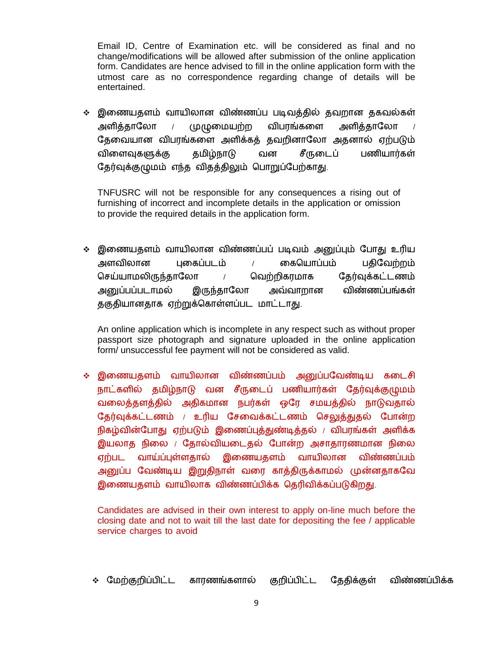Email ID, Centre of Examination etc. will be considered as final and no change/modifications will be allowed after submission of the online application form. Candidates are hence advised to fill in the online application form with the utmost care as no correspondence regarding change of details will be entertained.

∻ இணையதளம் வாயிலான விண்ணப்ப படிவத்தில் தவறான தகவல்கள் அளித்தாலோ / முழுமையற்ற விபரங்களை அளித்தாலோ தேவையான விபரங்களை அளிக்கத் தவறினாலோ அதனால் ஏற்படும் விளைவுகளுக்கு தமிழ்நாடு வன சீருடைப் பணியார்கள் தேர்வுக்குழுமம் எந்த விதத்திலும் பொறுப்பேற்காது.

TNFUSRC will not be responsible for any consequences a rising out of furnishing of incorrect and incomplete details in the application or omission to provide the required details in the application form.

❖ இணையதளம் வாயிலான விண்ணப்பப் படிவம் அனுப்பும் போது உரிய கையொப்பம் அளவிலான பகைப்படம்  $/$ பதிவேற்றம் செய்யாமலிருந்தாலோ / வெற்றிகரமாக கேர்வுக்கட்டணம் அரைப்பப்படாமல் இருந்தாலோ அவ்வாறான விண்ணப்பங்கள் தகுதியானதாக ஏற்றுக்கொள்ளப்பட மாட்டாது.

An online application which is incomplete in any respect such as without proper passport size photograph and signature uploaded in the online application form/ unsuccessful fee payment will not be considered as valid.

**்** இணையதளம் வாயிலான விண்ணப்பம் அனுப்பவேண்டிய கடைசி நாட்களில் தமிழ்நாடு வன சீருடைப் பணியார்கள் தேர்வுக்குழுமம் வலைத்தளத்தில் அதிகமான நபர்கள் ஒரே சமயத்தில் நாடுவதால் தேர்வுக்கட்டணம் / உரிய சேவைக்கட்டணம் செலுத்துதல் போன்ற நிகழ்வின்போது ஏற்படும் இணைப்புத்துண்டித்தல் / விபரங்கள் அளிக்க இயலாத நிலை / தோல்வியடைதல் போன்ற அசாதாரணமான நிலை வாய்ப்புள்ளதால் இணையதளம் வாயிலான எற்பட விண்ணப்பம் அனுப்ப வேண்டிய இறுதிநாள் வரை காத்திருக்காமல் முன்னதாகவே இணையதளம் வாயிலாக விண்ணப்பிக்க தெரிவிக்கப்படுகிறது.

Candidates are advised in their own interest to apply on-line much before the closing date and not to wait till the last date for depositing the fee / applicable service charges to avoid

∻ மேற்குறிப்பிட்ட காரணங்களால் குறிப்பிட்ட தேதிக்குள் விண்ணப்பிக்க